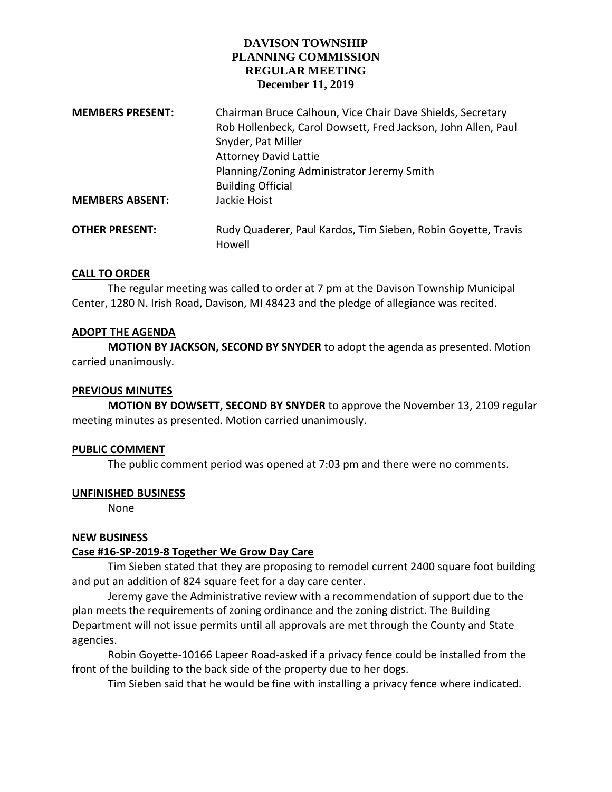## **DAVISON TOWNSHIP PLANNING COMMISSION REGULAR MEETING December 11, 2019**

| <b>MEMBERS PRESENT:</b> | Chairman Bruce Calhoun, Vice Chair Dave Shields, Secretary<br>Rob Hollenbeck, Carol Dowsett, Fred Jackson, John Allen, Paul<br>Snyder, Pat Miller<br><b>Attorney David Lattie</b><br>Planning/Zoning Administrator Jeremy Smith |
|-------------------------|---------------------------------------------------------------------------------------------------------------------------------------------------------------------------------------------------------------------------------|
| <b>MEMBERS ABSENT:</b>  | <b>Building Official</b><br>Jackie Hoist                                                                                                                                                                                        |
| <b>OTHER PRESENT:</b>   | Rudy Quaderer, Paul Kardos, Tim Sieben, Robin Goyette, Travis<br>Howell                                                                                                                                                         |

#### **CALL TO ORDER**

The regular meeting was called to order at 7 pm at the Davison Township Municipal Center, 1280 N. Irish Road, Davison, MI 48423 and the pledge of allegiance was recited.

### **ADOPT THE AGENDA**

**MOTION BY JACKSON, SECOND BY SNYDER** to adopt the agenda as presented. Motion carried unanimously.

## **PREVIOUS MINUTES**

**MOTION BY DOWSETT, SECOND BY SNYDER** to approve the November 13, 2109 regular meeting minutes as presented. Motion carried unanimously.

#### **PUBLIC COMMENT**

The public comment period was opened at 7:03 pm and there were no comments.

#### **UNFINISHED BUSINESS**

None

#### **NEW BUSINESS**

## **Case #16-SP-2019-8 Together We Grow Day Care**

Tim Sieben stated that they are proposing to remodel current 2400 square foot building and put an addition of 824 square feet for a day care center.

Jeremy gave the Administrative review with a recommendation of support due to the plan meets the requirements of zoning ordinance and the zoning district. The Building Department will not issue permits until all approvals are met through the County and State agencies.

Robin Goyette-10166 Lapeer Road-asked if a privacy fence could be installed from the front of the building to the back side of the property due to her dogs.

Tim Sieben said that he would be fine with installing a privacy fence where indicated.